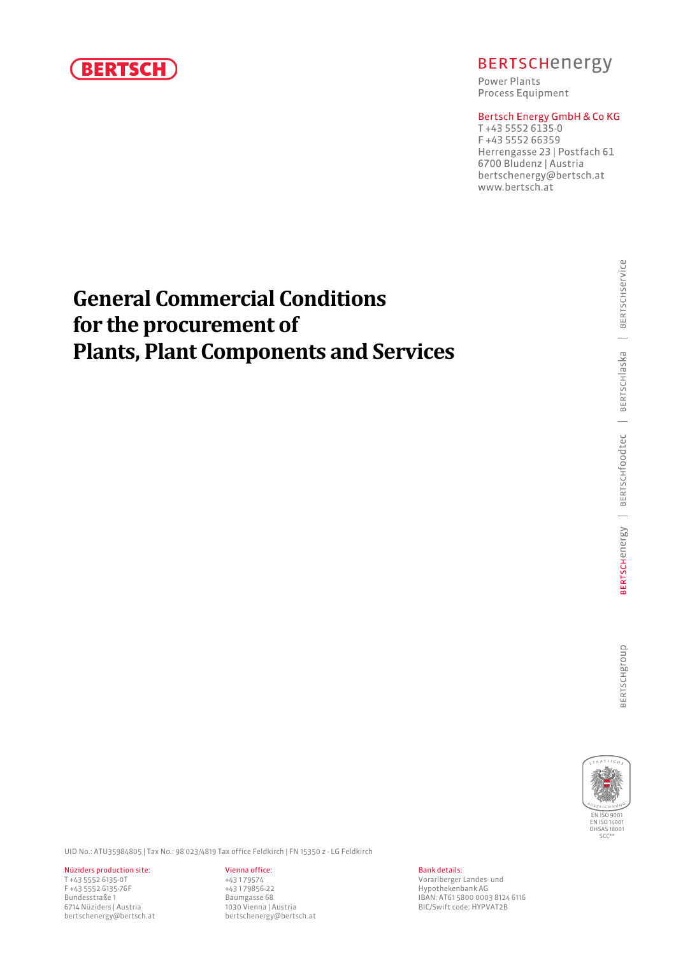

## **BERTSCHenergy**

Power Plants Process Equipment

## Bertsch Energy GmbH & Co KG

T+43 5552 6135-0 F+43 5552 66359 Herrengasse 23 | Postfach 61 6700 Bludenz | Austria bertschenergy@bertsch.at www.bertsch.at

# **General Commercial Conditions for the procurement of Plants, Plant Components and Services**



UID No.: ATU35984805 | Tax No.: 98 023/4819 Tax office Feldkirch | FN 15350 z - LG Feldkirch

Nüziders production site: <br>T +43 5552 6135-0T<br> $+43$  5552 6135-0T<br> $+43$  179574 T +43 5552 6135-0T +43 1 79574 Vorarlberger Landes- und 6714 Nüziders | Austria 1030 Vienna | Austria BIC/Swift code: HYPVAT2B bertschenergy@bertsch.at bertschenergy@bertsch.at

Hypothekenbank AG Bundesstraße 1 **Baumgasse 68** Baumgasse 68 **IBAN: AT61 5800 0003 8124 6116**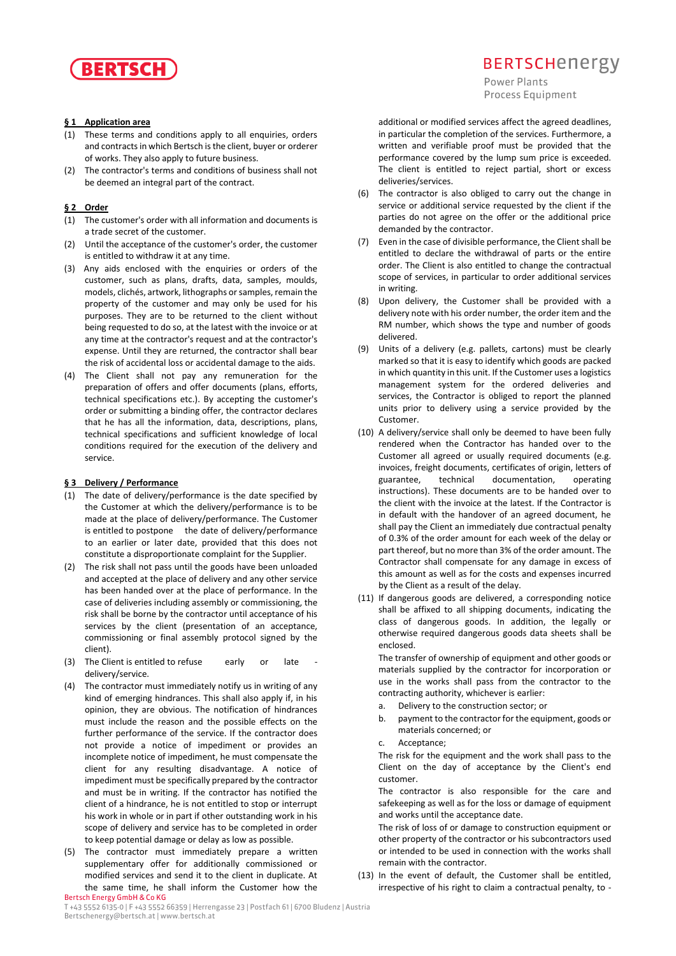

#### **§ 1 Application area**

- (1) These terms and conditions apply to all enquiries, orders and contracts in which Bertsch is the client, buyer or orderer of works. They also apply to future business.
- (2) The contractor's terms and conditions of business shall not be deemed an integral part of the contract.

### **§ 2 Order**

- (1) The customer's order with all information and documents is a trade secret of the customer.
- (2) Until the acceptance of the customer's order, the customer is entitled to withdraw it at any time.
- (3) Any aids enclosed with the enquiries or orders of the customer, such as plans, drafts, data, samples, moulds, models, clichés, artwork, lithographs or samples, remain the property of the customer and may only be used for his purposes. They are to be returned to the client without being requested to do so, at the latest with the invoice or at any time at the contractor's request and at the contractor's expense. Until they are returned, the contractor shall bear the risk of accidental loss or accidental damage to the aids.
- (4) The Client shall not pay any remuneration for the preparation of offers and offer documents (plans, efforts, technical specifications etc.). By accepting the customer's order or submitting a binding offer, the contractor declares that he has all the information, data, descriptions, plans, technical specifications and sufficient knowledge of local conditions required for the execution of the delivery and service.

#### **§ 3 Delivery / Performance**

- (1) The date of delivery/performance is the date specified by the Customer at which the delivery/performance is to be made at the place of delivery/performance. The Customer is entitled to postpone the date of delivery/performance to an earlier or later date, provided that this does not constitute a disproportionate complaint for the Supplier.
- (2) The risk shall not pass until the goods have been unloaded and accepted at the place of delivery and any other service has been handed over at the place of performance. In the case of deliveries including assembly or commissioning, the risk shall be borne by the contractor until acceptance of his services by the client (presentation of an acceptance, commissioning or final assembly protocol signed by the client).
- (3) The Client is entitled to refuse early or late delivery/service.
- (4) The contractor must immediately notify us in writing of any kind of emerging hindrances. This shall also apply if, in his opinion, they are obvious. The notification of hindrances must include the reason and the possible effects on the further performance of the service. If the contractor does not provide a notice of impediment or provides an incomplete notice of impediment, he must compensate the client for any resulting disadvantage. A notice of impediment must be specifically prepared by the contractor and must be in writing. If the contractor has notified the client of a hindrance, he is not entitled to stop or interrupt his work in whole or in part if other outstanding work in his scope of delivery and service has to be completed in order to keep potential damage or delay as low as possible.
- Bertsch Energy GmbH & Co KG (5) The contractor must immediately prepare a written supplementary offer for additionally commissioned or modified services and send it to the client in duplicate. At the same time, he shall inform the Customer how the

## **BERTSCHENETEV**

Power Plants **Process Equipment** 

additional or modified services affect the agreed deadlines, in particular the completion of the services. Furthermore, a written and verifiable proof must be provided that the performance covered by the lump sum price is exceeded. The client is entitled to reject partial, short or excess deliveries/services.

- (6) The contractor is also obliged to carry out the change in service or additional service requested by the client if the parties do not agree on the offer or the additional price demanded by the contractor.
- (7) Even in the case of divisible performance, the Client shall be entitled to declare the withdrawal of parts or the entire order. The Client is also entitled to change the contractual scope of services, in particular to order additional services in writing.
- (8) Upon delivery, the Customer shall be provided with a delivery note with his order number, the order item and the RM number, which shows the type and number of goods delivered.
- (9) Units of a delivery (e.g. pallets, cartons) must be clearly marked so that it is easy to identify which goods are packed in which quantity in this unit. If the Customer uses a logistics management system for the ordered deliveries and services, the Contractor is obliged to report the planned units prior to delivery using a service provided by the Customer.
- (10) A delivery/service shall only be deemed to have been fully rendered when the Contractor has handed over to the Customer all agreed or usually required documents (e.g. invoices, freight documents, certificates of origin, letters of guarantee, technical documentation, operating instructions). These documents are to be handed over to the client with the invoice at the latest. If the Contractor is in default with the handover of an agreed document, he shall pay the Client an immediately due contractual penalty of 0.3% of the order amount for each week of the delay or part thereof, but no more than 3% of the order amount. The Contractor shall compensate for any damage in excess of this amount as well as for the costs and expenses incurred by the Client as a result of the delay.
- (11) If dangerous goods are delivered, a corresponding notice shall be affixed to all shipping documents, indicating the class of dangerous goods. In addition, the legally or otherwise required dangerous goods data sheets shall be enclosed.

The transfer of ownership of equipment and other goods or materials supplied by the contractor for incorporation or use in the works shall pass from the contractor to the contracting authority, whichever is earlier:

- a. Delivery to the construction sector; or
- b. payment to the contractor for the equipment, goods or materials concerned; or
- c. Acceptance;

The risk for the equipment and the work shall pass to the Client on the day of acceptance by the Client's end customer.

The contractor is also responsible for the care and safekeeping as well as for the loss or damage of equipment and works until the acceptance date.

The risk of loss of or damage to construction equipment or other property of the contractor or his subcontractors used or intended to be used in connection with the works shall remain with the contractor.

(13) In the event of default, the Customer shall be entitled, irrespective of his right to claim a contractual penalty, to -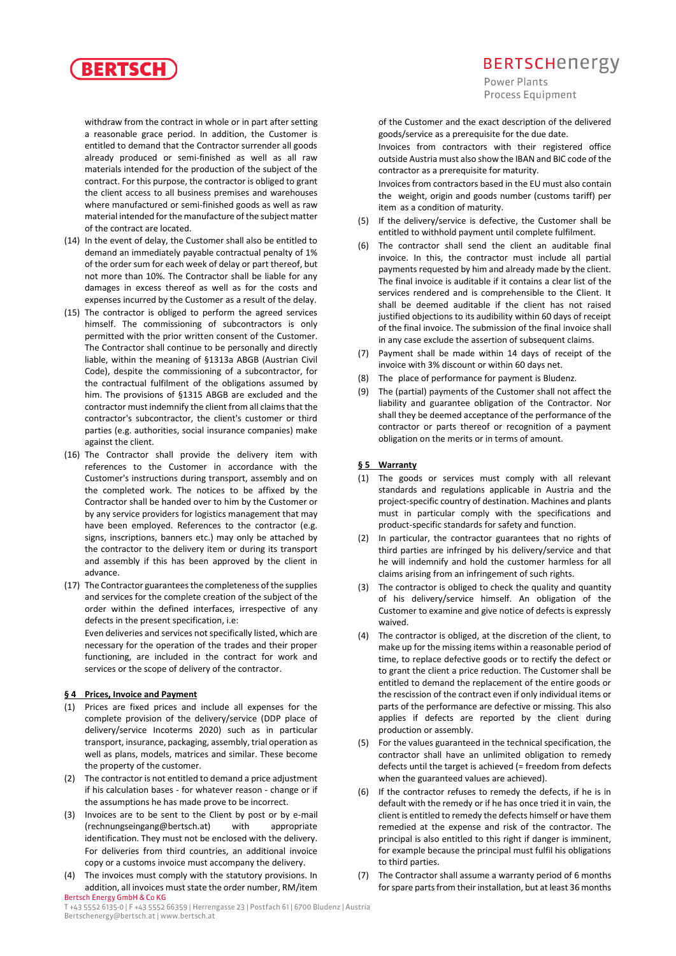

withdraw from the contract in whole or in part after setting a reasonable grace period. In addition, the Customer is entitled to demand that the Contractor surrender all goods already produced or semi-finished as well as all raw materials intended for the production of the subject of the contract. For this purpose, the contractor is obliged to grant the client access to all business premises and warehouses where manufactured or semi-finished goods as well as raw material intended for the manufacture of the subject matter of the contract are located.

- (14) In the event of delay, the Customer shall also be entitled to demand an immediately payable contractual penalty of 1% of the order sum for each week of delay or part thereof, but not more than 10%. The Contractor shall be liable for any damages in excess thereof as well as for the costs and expenses incurred by the Customer as a result of the delay.
- (15) The contractor is obliged to perform the agreed services himself. The commissioning of subcontractors is only permitted with the prior written consent of the Customer. The Contractor shall continue to be personally and directly liable, within the meaning of §1313a ABGB (Austrian Civil Code), despite the commissioning of a subcontractor, for the contractual fulfilment of the obligations assumed by him. The provisions of §1315 ABGB are excluded and the contractor must indemnify the client from all claims that the contractor's subcontractor, the client's customer or third parties (e.g. authorities, social insurance companies) make against the client.
- (16) The Contractor shall provide the delivery item with references to the Customer in accordance with the Customer's instructions during transport, assembly and on the completed work. The notices to be affixed by the Contractor shall be handed over to him by the Customer or by any service providers for logistics management that may have been employed. References to the contractor (e.g. signs, inscriptions, banners etc.) may only be attached by the contractor to the delivery item or during its transport and assembly if this has been approved by the client in advance.
- (17) The Contractor guarantees the completeness of the supplies and services for the complete creation of the subject of the order within the defined interfaces, irrespective of any defects in the present specification, i.e: Even deliveries and services not specifically listed, which are necessary for the operation of the trades and their proper functioning, are included in the contract for work and services or the scope of delivery of the contractor.

#### **§ 4 Prices, Invoice and Payment**

- (1) Prices are fixed prices and include all expenses for the complete provision of the delivery/service (DDP place of delivery/service Incoterms 2020) such as in particular transport, insurance, packaging, assembly, trial operation as well as plans, models, matrices and similar. These become the property of the customer.
- (2) The contractor is not entitled to demand a price adjustment if his calculation bases - for whatever reason - change or if the assumptions he has made prove to be incorrect.
- (3) Invoices are to be sent to the Client by post or by e-mail (rechnungseingang@bertsch.at) with appropriate identification. They must not be enclosed with the delivery. For deliveries from third countries, an additional invoice copy or a customs invoice must accompany the delivery.
- Bertsch Energy GmbH & Co KG (4) The invoices must comply with the statutory provisions. In addition, all invoices must state the order number, RM/item

## **BERTSCHENETEV**

Power Plants Process Equipment

of the Customer and the exact description of the delivered goods/service as a prerequisite for the due date.

Invoices from contractors with their registered office outside Austria must also show the IBAN and BIC code of the contractor as a prerequisite for maturity.

Invoices from contractors based in the EU must also contain the weight, origin and goods number (customs tariff) per item as a condition of maturity.

- (5) If the delivery/service is defective, the Customer shall be entitled to withhold payment until complete fulfilment.
- (6) The contractor shall send the client an auditable final invoice. In this, the contractor must include all partial payments requested by him and already made by the client. The final invoice is auditable if it contains a clear list of the services rendered and is comprehensible to the Client. It shall be deemed auditable if the client has not raised justified objections to its audibility within 60 days of receipt of the final invoice. The submission of the final invoice shall in any case exclude the assertion of subsequent claims.
- (7) Payment shall be made within 14 days of receipt of the invoice with 3% discount or within 60 days net.
- The place of performance for payment is Bludenz.
- (9) The (partial) payments of the Customer shall not affect the liability and guarantee obligation of the Contractor. Nor shall they be deemed acceptance of the performance of the contractor or parts thereof or recognition of a payment obligation on the merits or in terms of amount.

#### **§ 5 Warranty**

- (1) The goods or services must comply with all relevant standards and regulations applicable in Austria and the project-specific country of destination. Machines and plants must in particular comply with the specifications and product-specific standards for safety and function.
- (2) In particular, the contractor guarantees that no rights of third parties are infringed by his delivery/service and that he will indemnify and hold the customer harmless for all claims arising from an infringement of such rights.
- (3) The contractor is obliged to check the quality and quantity of his delivery/service himself. An obligation of the Customer to examine and give notice of defects is expressly waived.
- (4) The contractor is obliged, at the discretion of the client, to make up for the missing items within a reasonable period of time, to replace defective goods or to rectify the defect or to grant the client a price reduction. The Customer shall be entitled to demand the replacement of the entire goods or the rescission of the contract even if only individual items or parts of the performance are defective or missing. This also applies if defects are reported by the client during production or assembly.
- (5) For the values guaranteed in the technical specification, the contractor shall have an unlimited obligation to remedy defects until the target is achieved (= freedom from defects when the guaranteed values are achieved).
- (6) If the contractor refuses to remedy the defects, if he is in default with the remedy or if he has once tried it in vain, the client is entitled to remedy the defects himself or have them remedied at the expense and risk of the contractor. The principal is also entitled to this right if danger is imminent, for example because the principal must fulfil his obligations to third parties.
- (7) The Contractor shall assume a warranty period of 6 months for spare parts from their installation, but at least 36 months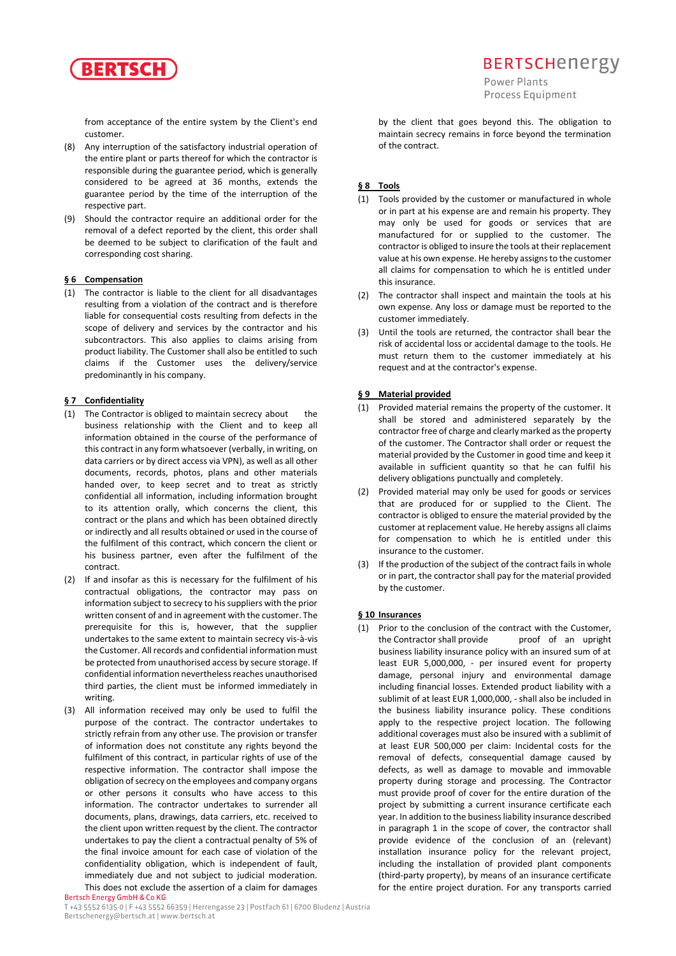

from acceptance of the entire system by the Client's end customer.

- (8) Any interruption of the satisfactory industrial operation of the entire plant or parts thereof for which the contractor is responsible during the guarantee period, which is generally considered to be agreed at 36 months, extends the guarantee period by the time of the interruption of the respective part.
- (9) Should the contractor require an additional order for the removal of a defect reported by the client, this order shall be deemed to be subject to clarification of the fault and corresponding cost sharing.

#### **§ 6 Compensation**

(1) The contractor is liable to the client for all disadvantages resulting from a violation of the contract and is therefore liable for consequential costs resulting from defects in the scope of delivery and services by the contractor and his subcontractors. This also applies to claims arising from product liability. The Customer shall also be entitled to such claims if the Customer uses the delivery/service predominantly in his company.

### **§ 7 Confidentiality**

- (1) The Contractor is obliged to maintain secrecy about the business relationship with the Client and to keep all information obtained in the course of the performance of this contract in any form whatsoever (verbally, in writing, on data carriers or by direct access via VPN), as well as all other documents, records, photos, plans and other materials handed over, to keep secret and to treat as strictly confidential all information, including information brought to its attention orally, which concerns the client, this contract or the plans and which has been obtained directly or indirectly and all results obtained or used in the course of the fulfilment of this contract, which concern the client or his business partner, even after the fulfilment of the contract.
- (2) If and insofar as this is necessary for the fulfilment of his contractual obligations, the contractor may pass on information subject to secrecy to his suppliers with the prior written consent of and in agreement with the customer. The prerequisite for this is, however, that the supplier undertakes to the same extent to maintain secrecy vis-à-vis the Customer. All records and confidential information must be protected from unauthorised access by secure storage. If confidential information nevertheless reaches unauthorised third parties, the client must be informed immediately in writing.
- (3) All information received may only be used to fulfil the purpose of the contract. The contractor undertakes to strictly refrain from any other use. The provision or transfer of information does not constitute any rights beyond the fulfilment of this contract, in particular rights of use of the respective information. The contractor shall impose the obligation of secrecy on the employees and company organs or other persons it consults who have access to this information. The contractor undertakes to surrender all documents, plans, drawings, data carriers, etc. received to the client upon written request by the client. The contractor undertakes to pay the client a contractual penalty of 5% of the final invoice amount for each case of violation of the confidentiality obligation, which is independent of fault, immediately due and not subject to judicial moderation. This does not exclude the assertion of a claim for damages

## **BERTSCHENETEV**

Power Plants Process Equipment

by the client that goes beyond this. The obligation to maintain secrecy remains in force beyond the termination of the contract.

#### **§ 8 Tools**

- (1) Tools provided by the customer or manufactured in whole or in part at his expense are and remain his property. They may only be used for goods or services that are manufactured for or supplied to the customer. The contractor is obliged to insure the tools at their replacement value at his own expense. He hereby assigns to the customer all claims for compensation to which he is entitled under this insurance.
- (2) The contractor shall inspect and maintain the tools at his own expense. Any loss or damage must be reported to the customer immediately.
- (3) Until the tools are returned, the contractor shall bear the risk of accidental loss or accidental damage to the tools. He must return them to the customer immediately at his request and at the contractor's expense.

#### **§ 9 Material provided**

- (1) Provided material remains the property of the customer. It shall be stored and administered separately by the contractor free of charge and clearly marked as the property of the customer. The Contractor shall order or request the material provided by the Customer in good time and keep it available in sufficient quantity so that he can fulfil his delivery obligations punctually and completely.
- (2) Provided material may only be used for goods or services that are produced for or supplied to the Client. The contractor is obliged to ensure the material provided by the customer at replacement value. He hereby assigns all claims for compensation to which he is entitled under this insurance to the customer.
- (3) If the production of the subject of the contract fails in whole or in part, the contractor shall pay for the material provided by the customer.

#### **§ 10 Insurances**

(1) Prior to the conclusion of the contract with the Customer, the Contractor shall provide proof of an upright business liability insurance policy with an insured sum of at least EUR 5,000,000, - per insured event for property damage, personal injury and environmental damage including financial losses. Extended product liability with a sublimit of at least EUR 1,000,000, - shall also be included in the business liability insurance policy. These conditions apply to the respective project location. The following additional coverages must also be insured with a sublimit of at least EUR 500,000 per claim: Incidental costs for the removal of defects, consequential damage caused by defects, as well as damage to movable and immovable property during storage and processing. The Contractor must provide proof of cover for the entire duration of the project by submitting a current insurance certificate each year. In addition to the business liability insurance described in paragraph 1 in the scope of cover, the contractor shall provide evidence of the conclusion of an (relevant) installation insurance policy for the relevant project, including the installation of provided plant components (third-party property), by means of an insurance certificate for the entire project duration. For any transports carried